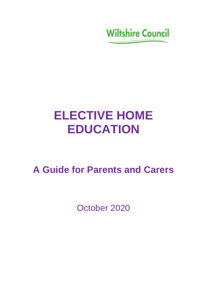**Wiltshire Council** 

# **ELECTIVE HOME EDUCATION**

**A Guide for Parents and Carers** 

October 2020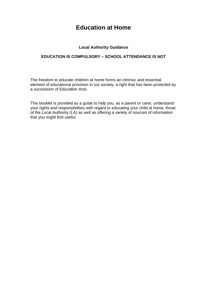# **Education at Home**

# **Local Authority Guidance**

# **EDUCATION IS COMPULSORY – SCHOOL ATTENDANCE IS NOT**

The freedom to educate children at home forms an intrinsic and essential element of educational provision in our society, a right that has been protected by a succession of Education Acts.

This booklet is provided as a guide to help you, as a parent or carer, understand your rights and responsibilities with regard to educating your child at home, those of the Local Authority (LA) as well as offering a variety of sources of information that you might find useful.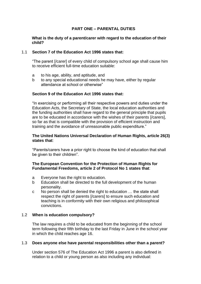# **PART ONE – PARENTAL DUTIES**

# **What is the duty of a parent/carer with regard to the education of their child?**

#### 1.1 **Section 7 of the Education Act 1996 states that:**

"The parent [/carer] of every child of compulsory school age shall cause him to receive efficient full-time education suitable:

- a to his age, ability, and aptitude, and
- b to any special educational needs he may have, either by regular attendance at school or otherwise"

## **Section 9 of the Education Act 1996 states that:**

"In exercising or performing all their respective powers and duties under the Education Acts, the Secretary of State, the local education authorities and the funding authorities shall have regard to the general principle that pupils are to be educated in accordance with the wishes of their parents [/carers], so far as that is compatible with the provision of efficient instruction and training and the avoidance of unreasonable public expenditure."

## **The United Nations Universal Declaration of Human Rights, article 26(3) states that**:

"Parents/carers have a prior right to choose the kind of education that shall be given to their children".

# **The European Convention for the Protection of Human Rights for Fundamental Freedoms, article 2 of Protocol No 1 states that**:

- a Everyone has the right to education.
- b Education shall be directed to the full development of the human personality.
- c No person shall be denied the right to education … the state shall respect the right of parents [/carers] to ensure such education and teaching is in conformity with their own religious and philosophical convictions.

# 1.2 **When is education compulsory?**

The law requires a child to be educated from the beginning of the school term following their fifth birthday to the last Friday in June in the school year in which the child reaches age 16.

#### 1.3 **Does anyone else have parental responsibilities other than a parent?**

Under section 576 of The Education Act 1996 a parent is also defined in relation to a child or young person as also including any individual: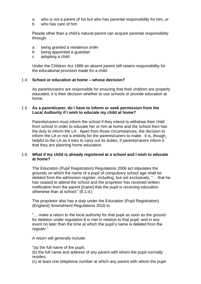- a who is not a parent of his but who has parental responsibility for him, or
- b who has care of him

People other than a child's natural parent can acquire parental responsibility through:

- a being granted a residence order
- b being appointed a guardian
- c adopting a child

Under the Children Act 1989 an absent parent still retains responsibility for the educational provision made for a child.

#### 1.4 **School or education at home – whose decision?**

As parents/carers are responsible for ensuring that their children are properly educated, it is their decision whether to use schools or provide education at home.

## 1.5 **As a parent/carer, do I have to inform or seek permission from the Local Authority if I wish to educate my child at home?**

Parents/carers must inform the school if they intend to withdraw their child from school in order to educate her or him at home and the school then has the duty to inform the LA. Apart from those circumstances, the decision to inform the LA or not is entirely for the parents/carers to make. It is, though, helpful to the LA as it tries to carry out its duties, if parents/carers inform it that they are planning home education.

## 1.6 **What if my child is already registered at a school and I wish to educate at home?**

The Education (Pupil Registration) Regulations 2006 act stipulates the grounds on which the name of a pupil of compulsory school age shall be deleted from the admission register, including, but not exclusively, "… that he has ceased to attend the school and the proprietor has received written notification from the parent [/carer] that the pupil is receiving education otherwise than at school;" (8.1.d.)

The proprietor also has a duty under the Education (Pupil Registration) (England) Amendment Regulations 2016 to

"… make a return to the local authority for that pupil as soon as the ground for deletion under regulation 8 is met in relation to that pupil, and in any event no later than the time at which the pupil's name is deleted from the register."

A return will generally include:

- "(a) the full name of the pupil;
- (b) the full name and address of any parent with whom the pupil normally resides;
- (c) at least one telephone number at which any parent with whom the pupil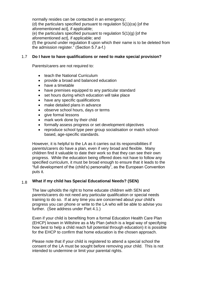normally resides can be contacted in an emergency; (d) the particulars specified pursuant to regulation 5(1)(ca) [of the aforementioned act], if applicable; (e) the particulars specified pursuant to regulation 5(1)(g) [of the aforementioned act], if applicable; and (f) the ground under regulation 8 upon which their name is to be deleted from the admission register." (Section 5.7.a-f.)

#### 1.7 **Do I have to have qualifications or need to make special provision?**

Parents/carers are not required to:

- teach the National Curriculum
- provide a broad and balanced education
- have a timetable
- have premises equipped to any particular standard
- set hours during which education will take place
- have any specific qualifications
- make detailed plans in advance
- observe school hours, days or terms
- give formal lessons
- mark work done by their child
- formally assess progress or set development objectives
- reproduce school type peer group socialisation or match schoolbased, age-specific standards.

However, it is helpful to the LA as it carries out its responsibilities if parents/carers do have a plan, even if very broad and flexible. Many children find it valuable to date their work so that they can see their own progress. While the education being offered does not have to follow any specified curriculum, it must be broad enough to ensure that it leads to the "full development of the (child's) personality", as the European Convention puts it.

## 1.8 **What if my child has Special Educational Needs? (SEN)**

The law upholds the right to home educate children with SEN and parents/carers do not need any particular qualification or special needs training to do so. If at any time you are concerned about your child's progress you can phone or write to the LA who will be able to advise you further. (See address under Part 4.1.)

Even if your child is benefiting from a formal Education Health Care Plan (EHCP) known in Wiltshire as a My Plan (which is a legal way of specifying how best to help a child reach full potential through education) it is possible for the EHCP to confirm that home education is the chosen approach.

Please note that if your child is registered to attend a special school the consent of the LA must be sought before removing your child. This is not intended to undermine or limit your parental rights.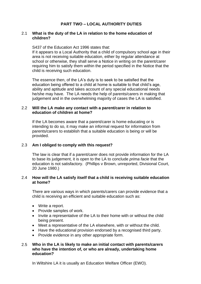# **PART TWO – LOCAL AUTHORITY DUTIES**

## 2.1 **What is the duty of the LA in relation to the home education of children?**

S437 of the Education Act 1996 states that:

If it appears to a Local Authority that a child of compulsory school age in their area is not receiving suitable education, either by regular attendance at school or otherwise, they shall serve a Notice in writing on the parent/carer requiring him to satisfy them within the period specified in the Notice that the child is receiving such education.

The essence then, of the LA's duty is to seek to be satisfied that the education being offered to a child at home is suitable to that child's age, ability and aptitude and takes account of any special educational needs he/she may have. The LA needs the help of parents/carers in making that judgement and in the overwhelming majority of cases the LA is satisfied.

## 2.2 **Will the LA make any contact with a parent/carer in relation to education of children at home?**

If the LA becomes aware that a parent/carer is home educating or is intending to do so, it may make an informal request for information from parents/carers to establish that a suitable education is being or will be provided.

#### 2.3 **Am I obliged to comply with this request?**

The law is clear that if a parent/carer does not provide information for the LA to base its judgement, it is open to the LA to conclude *prima facie* that the education is not satisfactory. (Phillips v Brown, unreported, Divisional Court, 20 June 1980.)

## 2.4 **How will the LA satisfy itself that a child is receiving suitable education at home?**

There are various ways in which parents/carers can provide evidence that a child is receiving an efficient and suitable education such as:

- Write a report.
- Provide samples of work.
- Invite a representative of the LA to their home with or without the child being present.
- Meet a representative of the LA elsewhere, with or without the child.
- Have the educational provision endorsed by a recognised third party.
- Provide evidence in any other appropriate form.

## 2.5 **Who in the LA is likely to make an initial contact with parents/carers who have the intention of, or who are already, undertaking home education?**

In Wiltshire LA it is usually an Education Welfare Officer (EWO).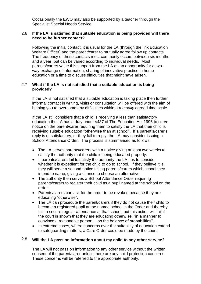Occasionally the EWO may also be supported by a teacher through the Specialist Special Needs Service.

## 2.6 **If the LA is satisfied that suitable education is being provided will there need to be further contact?**

Following the initial contact, it is usual for the LA (through the link Education Welfare Officer) and the parent/carer to mutually agree follow up contacts. The frequency of these contacts most commonly occurs between six months and a year, but can be varied according to individual needs. Most parents/carers value this support from the LA as an opportunity for a twoway exchange of information, sharing of innovative practice in home education or a time to discuss difficulties that might have arisen.

## 2.7 **What if the LA is not satisfied that a suitable education is being provided?**

If the LA is not satisfied that a suitable education is taking place then further informal contact in writing, visits or consultation will be offered with the aim of helping you to overcome any difficulties within a *mutually* agreed time scale.

If the LA still considers that a child is receiving a less than satisfactory education the LA has a duty under s437 of The Education Act 1996 to serve notice on the parent/carer requiring them to satisfy the LA that their child is receiving suitable education "otherwise than at school". If a parent's/carer's reply is unsatisfactory, or they fail to reply, the LA may consider issuing a School Attendance Order. The process is summarised as follows:

- The LA serves parents/carers with a notice giving at least two weeks to satisfy the authority that the child is being educated properly.
- If parents/carers fail to satisfy the authority the LA has to consider whether it is expedient for the child to go to school. If they believe it is, they will serve a second notice telling parents/carers which school they intend to name, giving a chance to choose an alternative.
- The authority then serves a School Attendance Order requiring parents/carers to register their child as a pupil named at the school on the order.
- Parents/carers can ask for the order to be revoked because they are educating "otherwise".
- The LA can prosecute the parent/carers if they do not cause their child to become a registered pupil at the named school in the Order and thereby fail to secure regular attendance at that school, but this action will fail if the court is shown that they are educating otherwise, "in a manner to convince a reasonable person… on the balance of probabilities".
- In extreme cases, where concerns over the suitability of education extend to safeguarding matters, a Care Order could be made by the court.

### 2.8 **Will the LA pass on information about my child to any other service?**

The LA will not pass on information to any other service without the written consent of the parent/carer unless there are any child protection concerns. These concerns will be referred to the appropriate authority.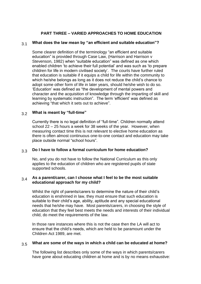# **PART THREE – VARIED APPROACHES TO HOME EDUCATION**

### 3.1 **What does the law mean by "an efficient and suitable education"?**

Some clearer definition of the terminology "an efficient and suitable education" is provided through Case Law, (Harrison and Harrison v Stevenson, 1982) when "suitable education" was defined as one which enabled children 'to achieve their full potential' and was such as 'to prepare children for life in modern civilised society'. The courts have further ruled that education is suitable if it equips a child for life within the community to which he/she belongs as long as it does not reduce the child's chance to adopt some other form of life in later years, should he/she wish to do so. 'Education' was defined as "the development of mental powers and character and the acquisition of knowledge through the imparting of skill and learning by systematic instruction". The term 'efficient' was defined as achieving "that which it sets out to achieve".

#### 3.2 **What is meant by "full-time"**

Currently there is no legal definition of "full-time". Children normally attend school 22 – 25 hours a week for 38 weeks of the year. However, when measuring contact time this is not relevant to elective home education as there is often almost continuous one-to-one contact and education may take place outside normal "school hours".

#### 3.3 **Do I have to follow a formal curriculum for home education?**

No, and you do not have to follow the National Curriculum as this only applies to the education of children who are registered pupils of state supported schools.

## 3.4 **As a parent/carer, can I choose what I feel to be the most suitable educational approach for my child?**

Whilst the right of parents/carers to determine the nature of their child's education is enshrined in law, they must ensure that such education is suitable to their child's age, ability, aptitude and any special educational needs that he/she may have. Most parents/carers, in choosing the style of education that they feel best meets the needs and interests of their individual child, do meet the requirements of the law.

In those rare instances where this is not the case then the LA will act to ensure that the child's needs, which are held to be paramount under the Children Act 1989, are met.

#### 3.5 **What are some of the ways in which a child can be educated at home?**

The following list describes only some of the ways in which parents/carers have gone about educating children at home and is by no means exhaustive: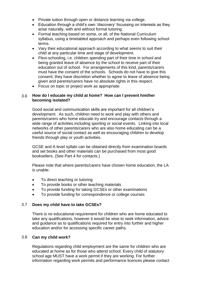- Private tuition through open or distance learning via college.
- Education through a child's own 'discovery' focussing on interests as they arise naturally, with and without formal tutoring.
- Formal teaching based on some, or all, of the National Curriculum syllabus, using a timetabled approach and perhaps even following school terms.
- Vary their educational approach according to what seems to suit their child at any particular time and stage of development.
- Flexi-schooling, i.e. children spending part of their time in school and being granted leave of absence by the school to receive part of their education out of school. For arrangements of this kind, parents/carers must have the consent of the schools. Schools do not have to give this consent; they have discretion whether to agree to leave of absence being given and parents/carers have no absolute rights in this respect.
- Focus on topic or project work as appropriate.

## 3.6 **How do I educate my child at home? How can I prevent him/her becoming isolated?**

Good social and communication skills are important for all children's development. As such, children need to work and play with others and parents/carers who home educate try and encourage contacts through a wide range of activities including sporting or social events. Linking into local networks of other parents/carers who are also home educating can be a useful source of social contact as well as encouraging children to develop friends through play or youth activities.

GCSE and A level syllabi can be obtained directly from examination boards and set books and other materials can be purchased from most good booksellers. (See Part 4 for contacts.)

Please note that where parents/carers have chosen home education, the LA is unable:

- To direct teaching or tutoring
- To provide books or other teaching materials
- To provide funding for taking GCSEs or other examinations
- To provide funding for correspondence or college courses

#### 3.7 **Does my child have to take GCSEs?**

There is no educational requirement for children who are home educated to take any qualifications, however it would be wise to seek information, advice and guidance as to qualifications required for entry into further and higher education and/or for accessing specific career paths.

# 3.8 **Can my child work?**

Regulations regarding child employment are the same for children who are educated at home as for those who attend school. Every child of statutory school age MUST have a work permit if they are working. For further information regarding work permits and performance licences please contact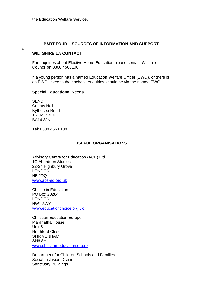## **PART FOUR – SOURCES OF INFORMATION AND SUPPORT**

## 4.1

# **WILTSHIRE LA CONTACT**

For enquiries about Elective Home Education please contact Wiltshire Council on 0300 4560108.

If a young person has a named Education Welfare Officer (EWO), or there is an EWO linked to their school, enquiries should be via the named EWO.

## **Special Educational Needs**

SEND County Hall Bythesea Road **TROWBRIDGE** BA14 8JN

Tel: 0300 456 0100

# **USEFUL ORGANISATIONS**

Advisory Centre for Education (ACE) Ltd 1C Aberdeen Studios 22-24 Highbury Grove LONDON N5 2DQ [www.ace-ed.org.uk](http://www.ace-ed.org.uk/)

Choice in Education PO Box 20284 LONDON NW1 3WY [www.educationchoice.org.uk](http://www.educationchoice.org.uk/)

Christian Education Europe Maranatha House Unit 5 Northford Close SHRIVENHAM SN6 8HL [www.christian-education.org.uk](http://www.christian-education.org.uk/)

Department for Children Schools and Families Social Inclusion Division Sanctuary Buildings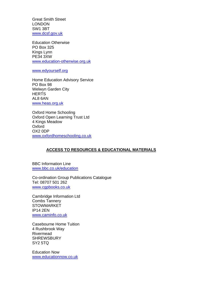Great Smith Street LONDON SW1 3BT [www.dcsf.gov.uk](http://www.dcsf.gov.uk/)

Education Otherwise PO Box 325 Kings Lynn PE34 3XW [www.education-otherwise.org.uk](http://www.education-otherwise.org.uk/)

[www.edyourself.org](http://www.edyourself.org/)

Home Education Advisory Service PO Box 98 Welwyn Garden City **HERTS** AL8 6AN [www.heas.org.uk](http://www.heas.org.uk/)

Oxford Home Schooling Oxford Open Learning Trust Ltd 4 Kings Meadow **Oxford** OX2 0DP [www.oxfordhomeschooling.co.uk](http://www.oxfordhomeschooling.co.uk/)

# **ACCESS TO RESOURCES & EDUCATIONAL MATERIALS**

BBC Information Line [www.bbc.co.uk/education](http://www.bbc.co.uk/education)

Co-ordination Group Publications Catalogue Tel: 08707 501 262 [www.cgpbooks.co.uk](http://www.cgpbooks.co.uk/)

Cambridge Information Ltd Combs Tannery **STOWMARKET** IP14 2EN [www.caminfo.co.uk](http://www.caminfo.co.uk/)

Casebourne Home Tuition 4 Rushbrook Way Rivermead **SHREWSBURY** SY2 5TQ

Education Now [www.educationnow.co.uk](http://www.educationnow.co.uk/)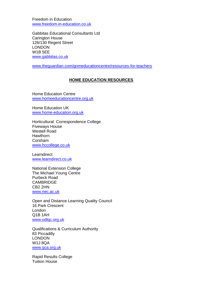Freedom in Education [www.freedom-in-education.co.uk](http://www.freedom-in-education.co.uk/)

Gabbitas Educational Consultants Ltd Carington House 126/130 Regent Street LONDON W1B 5EE [www.gabbitas.co.uk](http://www.gabbitas.co.uk/)

[www.theguardian.com/gnmeducationcentre/resources-for-teachers](http://www.theguardian.com/gnmeducationcentre/resources-for-teachers)

# **HOME EDUCATION RESOURCES**

Home Education Centre [www.homeeducationcentre.org.uk](http://www.homeeducationcentre.org.uk/)

Home Education UK [www.home-education.org.uk](http://www.home-education.org.uk/)

Horticultural Correspondence College Fiveways House Westell Road **Hawthorn** Corsham [www.hccollege.co.uk](http://www.hccollege.co.uk/)

**Learndirect** [www.learndirect.co.uk](http://www.learndirect.co.uk/)

National Extension College The Michael Young Centre Purbeck Road CAMBRIDGE CB2 2HN [www.nec.ac.uk](http://www.nec.ac.uk/)

Open and Distance Learning Quality Council 16 Park Crescent London Q1B 1AH [www.odlqc.org.uk](http://www.odlqc.org.uk/)

Qualifications & Curriculum Authority 83 Piccadilly **LONDON** W1J 8QA [www.qca.org.uk](http://www.qca.org.uk/)

Rapid Results College Tuition House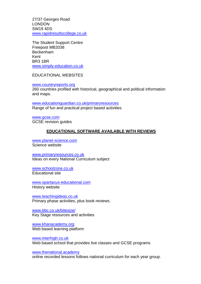27/37 Georges Road LONDON SW19 4DS [www.rapidresultscollege.co.uk](http://www.rapidresultscollege.co.uk/)

The Student Support Centre Freepost MB2038 Beckenham Kent BR3 1BR [www.simply-education.co.uk](http://www.simply-education.co.uk/)

EDUCATIONAL WEBSITES

[www.countryreports.org](http://www.countryreports.org/)

260 countries profiled with historical, geographical and political information and maps.

[www.educationguardian.co.uk/primaryresources](http://www.educationguardian.co.uk/primaryresources) Range of fun and practical project based activities

[www.gcse.com](http://www.gcse.com/) GCSE revision guides

# **EDUCATIONAL SOFTWARE AVAILABLE WITH REVIEWS**

[www.planet-science.com](http://www.planet-science.com/) Science website

[www.primaryresources.co.uk](http://www.primaryresources.co.uk/) Ideas on every National Curriculum subject

[www.schoolzone.co.uk](http://www.schoolzone.co.uk/) Educational site

[www.spartacus-educational.com](http://www.spartacus-educational.com/) History website

[www.teachingideas.co.uk](http://www.teachingideas.co.uk/) Primary phase activities, plus book reviews.

[www.bbc.co.uk/bitesize/](http://www.bbc.co.uk/bitesize/) Key Stage resources and activities

[www.khanacademy.org](http://www.khanacademy.org/) Web based learning platform

[www.interhigh.co.uk](http://www.interhigh.co.uk/) Web based school that provides live classes and GCSE programs

[www.thenational.academy](http://www.thenational.academy/)

online recorded lessons follows national curriculum for each year group.